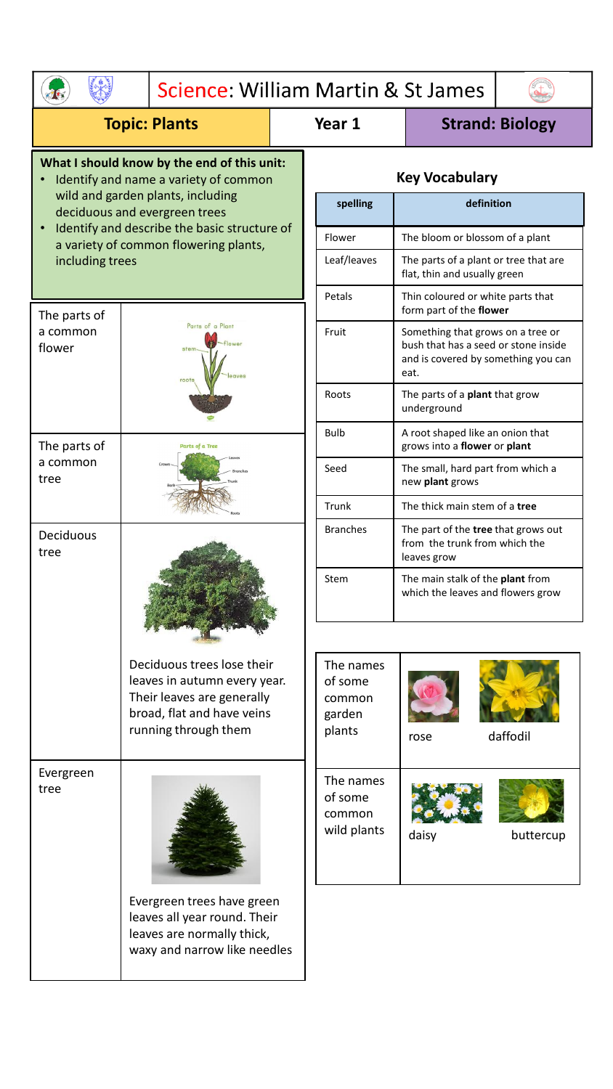| Science: William Martin & St James                                                                                                                                                                                                                                                  |                                                                                                                                                |  |                                                    |                                                                                                                          |                        |  |
|-------------------------------------------------------------------------------------------------------------------------------------------------------------------------------------------------------------------------------------------------------------------------------------|------------------------------------------------------------------------------------------------------------------------------------------------|--|----------------------------------------------------|--------------------------------------------------------------------------------------------------------------------------|------------------------|--|
| <b>Topic: Plants</b>                                                                                                                                                                                                                                                                |                                                                                                                                                |  | Year 1                                             |                                                                                                                          | <b>Strand: Biology</b> |  |
| What I should know by the end of this unit:<br>Identify and name a variety of common<br>wild and garden plants, including<br>deciduous and evergreen trees<br>Identify and describe the basic structure of<br>$\bullet$<br>a variety of common flowering plants,<br>including trees |                                                                                                                                                |  | <b>Key Vocabulary</b>                              |                                                                                                                          |                        |  |
|                                                                                                                                                                                                                                                                                     |                                                                                                                                                |  | spelling                                           |                                                                                                                          | definition             |  |
|                                                                                                                                                                                                                                                                                     |                                                                                                                                                |  | Flower                                             | The bloom or blossom of a plant                                                                                          |                        |  |
|                                                                                                                                                                                                                                                                                     |                                                                                                                                                |  | Leaf/leaves                                        | The parts of a plant or tree that are<br>flat, thin and usually green                                                    |                        |  |
| The parts of                                                                                                                                                                                                                                                                        |                                                                                                                                                |  | Petals                                             | Thin coloured or white parts that<br>form part of the flower                                                             |                        |  |
| a common<br>flower                                                                                                                                                                                                                                                                  | Parts of a Plant<br>roots                                                                                                                      |  | Fruit                                              | Something that grows on a tree or<br>bush that has a seed or stone inside<br>and is covered by something you can<br>eat. |                        |  |
|                                                                                                                                                                                                                                                                                     |                                                                                                                                                |  | Roots                                              | The parts of a <b>plant</b> that grow<br>underground                                                                     |                        |  |
| The parts of<br>Parts of a Tree                                                                                                                                                                                                                                                     |                                                                                                                                                |  | <b>Bulb</b>                                        | A root shaped like an onion that<br>grows into a flower or plant                                                         |                        |  |
| a common<br>tree                                                                                                                                                                                                                                                                    |                                                                                                                                                |  | Seed                                               | The small, hard part from which a<br>new plant grows                                                                     |                        |  |
|                                                                                                                                                                                                                                                                                     |                                                                                                                                                |  | Trunk                                              | The thick main stem of a tree                                                                                            |                        |  |
| Deciduous<br>tree                                                                                                                                                                                                                                                                   |                                                                                                                                                |  | <b>Branches</b>                                    | The part of the <b>tree</b> that grows out<br>from the trunk from which the<br>leaves grow                               |                        |  |
|                                                                                                                                                                                                                                                                                     |                                                                                                                                                |  | Stem                                               | The main stalk of the plant from<br>which the leaves and flowers grow                                                    |                        |  |
|                                                                                                                                                                                                                                                                                     | Deciduous trees lose their<br>leaves in autumn every year.<br>Their leaves are generally<br>broad, flat and have veins<br>running through them |  | The names<br>of some<br>common<br>garden<br>plants | rose                                                                                                                     | daffodil               |  |
| Evergreen<br>tree                                                                                                                                                                                                                                                                   |                                                                                                                                                |  | The names<br>of some<br>common<br>wild plants      | daisy                                                                                                                    | buttercup              |  |
|                                                                                                                                                                                                                                                                                     | Evergreen trees have green<br>leaves all year round. Their<br>leaves are normally thick,<br>waxy and narrow like needles                       |  |                                                    |                                                                                                                          |                        |  |